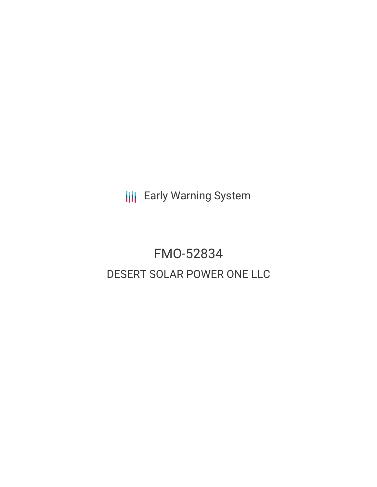**III** Early Warning System

# FMO-52834 DESERT SOLAR POWER ONE LLC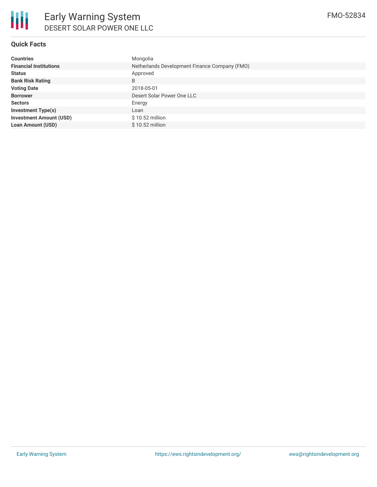

## **Quick Facts**

| <b>Countries</b>               | Mongolia                                      |  |  |  |
|--------------------------------|-----------------------------------------------|--|--|--|
| <b>Financial Institutions</b>  | Netherlands Development Finance Company (FMO) |  |  |  |
| <b>Status</b>                  | Approved                                      |  |  |  |
| <b>Bank Risk Rating</b>        | B                                             |  |  |  |
| <b>Voting Date</b>             | 2018-05-01                                    |  |  |  |
| <b>Borrower</b>                | Desert Solar Power One LLC                    |  |  |  |
| <b>Sectors</b>                 | Energy                                        |  |  |  |
| <b>Investment Type(s)</b>      | Loan                                          |  |  |  |
| <b>Investment Amount (USD)</b> | $$10.52$ million                              |  |  |  |
| <b>Loan Amount (USD)</b>       | $$10.52$ million                              |  |  |  |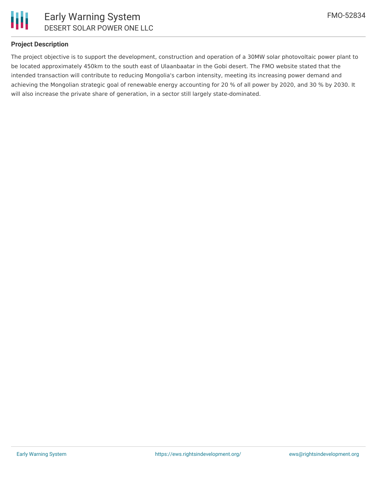

#### **Project Description**

The project objective is to support the development, construction and operation of a 30MW solar photovoltaic power plant to be located approximately 450km to the south east of Ulaanbaatar in the Gobi desert. The FMO website stated that the intended transaction will contribute to reducing Mongolia's carbon intensity, meeting its increasing power demand and achieving the Mongolian strategic goal of renewable energy accounting for 20 % of all power by 2020, and 30 % by 2030. It will also increase the private share of generation, in a sector still largely state-dominated.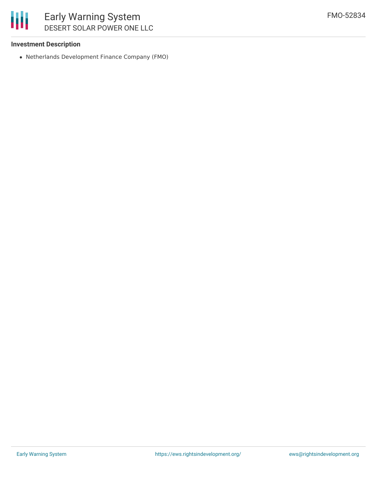## 朋 Early Warning System DESERT SOLAR POWER ONE LLC

#### **Investment Description**

Netherlands Development Finance Company (FMO)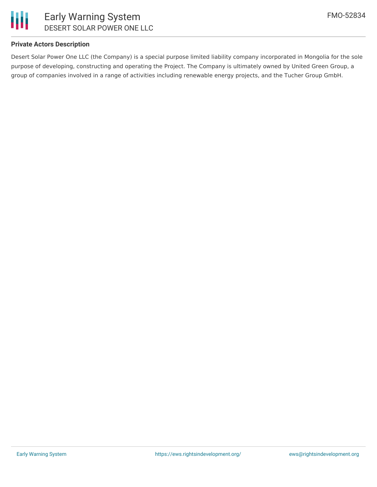

#### **Private Actors Description**

Desert Solar Power One LLC (the Company) is a special purpose limited liability company incorporated in Mongolia for the sole purpose of developing, constructing and operating the Project. The Company is ultimately owned by United Green Group, a group of companies involved in a range of activities including renewable energy projects, and the Tucher Group GmbH.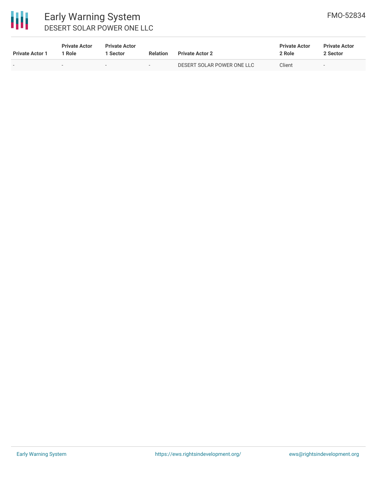

# Early Warning System DESERT SOLAR POWER ONE LLC

| <b>Private Actor 1</b> | <b>Private Actor</b><br>l Role. | <b>Private Actor</b><br><b>Sector</b> | Relation                 | <b>Private Actor 2</b>     | <b>Private Actor</b><br>2 Role | <b>Private Actor</b><br>2 Sector |
|------------------------|---------------------------------|---------------------------------------|--------------------------|----------------------------|--------------------------------|----------------------------------|
|                        | $\overline{\phantom{a}}$        | $\overline{\phantom{0}}$              | $\overline{\phantom{a}}$ | DESERT SOLAR POWER ONE LLC | Client                         | $\overline{\phantom{a}}$         |